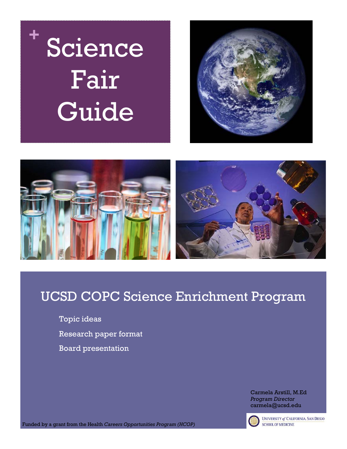





## UCSD COPC Science Enrichment Program

Topic ideas Research paper format Board presentation

> Carmela Arstill, M.Ed *Program Director* carmela@ucsd.edu



**UNIVERSITY of CALIFORNIA, SAN DIEGO SCHOOL OF MEDICINE** 

Funded by a grant from the Health *Careers Opportunities Program (HCOP)*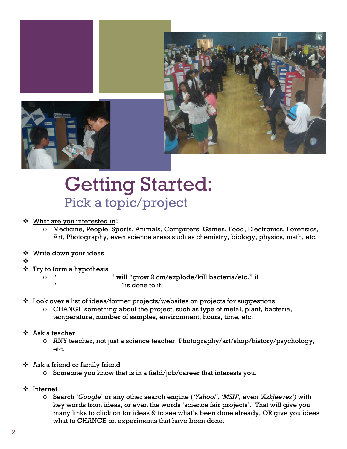

## Getting Started: Pick a topic/project

#### **❖** What are you interested in?

- o Medicine, People, Sports, Animals, Computers, Games, Food, Electronics, Forensics, Art, Photography, even science areas such as chemistry, biology, physics, math, etc.
- **❖** Write down your ideas
- ❖
- $\div$  Try to form a hypothesis
	- o "\_\_\_\_\_\_\_\_\_\_\_\_\_\_\_\_" will "grow 2 cm/explode/kill bacteria/etc." if " is done to it.
- Look over a list of ideas/former projects/websites on projects for suggestions
	- $\circ$  CHANGE something about the project, such as type of metal, plant, bacteria, temperature, number of samples, environment, hours, time, etc.
- $\div$  Ask a teacher
	- o ANY teacher, not just a science teacher: Photography/art/shop/history/psychology, etc.
- $\div$  Ask a friend or family friend
	- o Someone you know that is in a field/job/career that interests you.
- Internet
	- o Search '*Google*' or any other search engine (*'Yahoo!', 'MSN',* even *'AskJeeves')* with key words from ideas, or even the words 'science fair projects'. That will give you many links to click on for ideas & to see what's been done already, OR give you ideas what to CHANGE on experiments that have been done.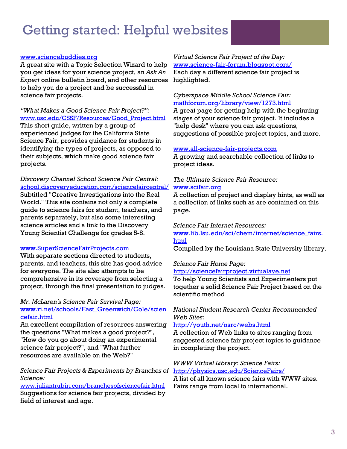## Getting started: Helpful websites

#### [www.sciencebuddies.org](http://www.sciencebuddies.org/)

A great site with a Topic Selection Wizard to help you get ideas for your science project, an *Ask An Expert* online bulletin board, and other resources to help you do a project and be successful in science fair projects.

*"What Makes a Good Science Fair Project?":*  [www.usc.edu/CSSF/Resources/Good\\_Project.html](http://www.usc.edu/CSSF/Resources/Good_Project.html) This short guide, written by a group of experienced judges for the California State Science Fair, provides guidance for students in identifying the types of projects, as opposed to their subjects, which make good science fair

projects. *Discovery Channel School Science Fair Central:*  [school.discoveryeducation.com/sciencefaircentral/](http://school.discoveryeducation.com/sciencefaircentral/) Subtitled "Creative Investigations into the Real

World." This site contains not only a complete guide to science fairs for student, teachers, and parents separately, but also some interesting science articles and a link to the Discovery Young Scientist Challenge for grades 5-8.

#### [www.SuperScienceFairProjects.com](http://www.super-science-fair-projects.com/)

With separate sections directed to students, parents, and teachers, this site has good advice for everyone. The site also attempts to be comprehensive in its coverage from selecting a project, through the final presentation to judges.

#### *[Mr. McLaren's Science Fair Survival Page:](http://www.ri.net/schools/East_Greenwich/Cole/sciencefair.html)* [www.ri.net/schools/East\\_Greenwich/Cole/scien](http://www.ri.net/schools/East_Greenwich/Cole/sciencefair.html) [cefair.html](http://www.ri.net/schools/East_Greenwich/Cole/sciencefair.html)

An excellent compilation of resources answering the questions "What makes a good project?", "How do you go about doing an experimental science fair project?", and "What further resources are available on the Web?"

#### *[Science Fair Projects & Experiments by Branches of](http://www.juliantrubin.com/branchesofsciencefair.html)  [Science:](http://www.juliantrubin.com/branchesofsciencefair.html)*

[www.juliantrubin.com/branchesofsciencefair.html](http://www.juliantrubin.com/branchesofsciencefair.html) Suggestions for science fair projects, divided by field of interest and age.

*[Virtual Science Fair Project of the Day:](http://www.science-fair-forum.blogspot.com/)* [www.science-fair-forum.blogspot.com/](http://www.science-fair-forum.blogspot.com/) Each day a different science fair project is highlighted.

#### *[Cyberspace Middle School Science Fair:](http://www.scri.fsu.edu/~dennisl/CMS/sf/sf.html)* [mathforum.org/library/view/1273.html](http://mathforum.org/library/view/1273.html)

A great page for getting help with the beginning stages of your science fair project. It includes a "help desk" where you can ask questions, suggestions of possible project topics, and more.

#### [www.all-science-fair-projects.com](http://www.all-science-fair-projects.com/)

A growing and searchable collection of links to project ideas.

#### *[The Ultimate Science Fair Resource:](http://www.scifair.org/)* [www.scifair.org](http://www.scifair.org/)

A collection of project and display hints, as well as a collection of links such as are contained on this page.

*[Science Fair Internet Resources:](http://www.lib.lsu.edu/sci/chem/internet/science_fairs.html)*

[www.lib.lsu.edu/sci/chem/internet/science\\_fairs.](http://www.lib.lsu.edu/sci/chem/internet/science_fairs.html) [html](http://www.lib.lsu.edu/sci/chem/internet/science_fairs.html)

Compiled by the Louisiana State University library.

#### *[Science Fair Home Page:](http://sciencefairproject.virtualave.net/)* [http://sciencefairproject.virtualave.net](http://sciencefairproject.virtualave.net/)

To help Young Scientists and Experimenters put together a solid Science Fair Project based on the scientific method

#### *[National Student Research Center Recommended](http://youth.net/nsrc/webs.html)  [Web Sites:](http://youth.net/nsrc/webs.html)*

#### <http://youth.net/nsrc/webs.html>

A collection of Web links to sites ranging from suggested science fair project topics to guidance in completing the project.

#### *[WWW Virtual Library: Science Fairs:](http://physics.usc.edu/ScienceFairs/)* <http://physics.usc.edu/ScienceFairs/>

A list of all known science fairs with WWW sites. Fairs range from local to international.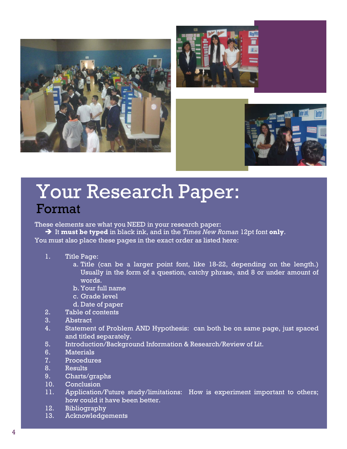





## Your Research Paper: Format

These elements are what you NEED in your research paper:

 It **must be typed** in black ink, and in the *Times New Roman* 12pt font **only**. You must also place these pages in the exact order as listed here:

- 1. Title Page:
	- a. Title (can be a larger point font, like 18-22, depending on the length.) Usually in the form of a question, catchy phrase, and 8 or under amount of words.
	- b. Your full name
	- c. Grade level
	- d. Date of paper
- 2. Table of contents
- 3. Abstract
- 4. Statement of Problem AND Hypothesis: can both be on same page, just spaced and titled separately.
- 5. Introduction/Background Information & Research/Review of Lit.
- 6. Materials
- 7. Procedures
- 8. Results
- 9. Charts/graphs
- 10. Conclusion
- 11. Application/Future study/limitations: How is experiment important to others; how could it have been better.
- 12. Bibliography
- 13. Acknowledgements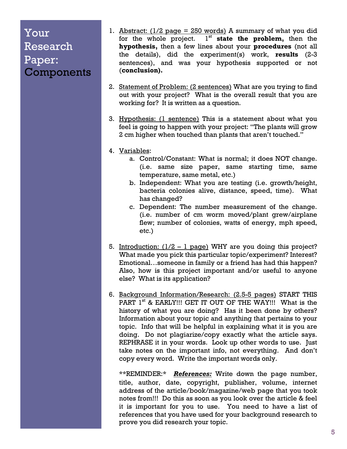### Your Research Paper: **Components**

- 1. Abstract:  $(1/2 \text{ page} = 250 \text{ words})$  A summary of what you did for the whole project. 1<sup>st</sup> state the problem, then the **hypothesis,** then a few lines about your **procedures** (not all the details), did the experiment(s) work, **results** (2-3 sentences), and was your hypothesis supported or not (**conclusion).**
- 2. Statement of Problem: (2 sentences) What are you trying to find out with your project? What is the overall result that you are working for? It is written as a question.
- 3. Hypothesis: (1 sentence) This is a statement about what you feel is going to happen with your project: "The plants will grow 2 cm higher when touched than plants that aren't touched."
- 4. Variables:
	- a. Control/Constant: What is normal; it does NOT change. (i.e. same size paper, same starting time, same temperature, same metal, etc.)
	- b. Independent: What you are testing (i.e. growth/height, bacteria colonies alive, distance, speed, time). What has changed?
	- c. Dependent: The number measurement of the change. (i.e. number of cm worm moved/plant grew/airplane flew; number of colonies, watts of energy, mph speed, etc.)
- 5. Introduction:  $(1/2 1$  page) WHY are you doing this project? What made you pick this particular topic/experiment? Interest? Emotional…someone in family or a friend has had this happen? Also, how is this project important and/or useful to anyone else? What is its application?
- 6. Background Information/Research: (2.5-5 pages) START THIS PART 1<sup>st</sup> & EARLY!!! GET IT OUT OF THE WAY!!! What is the history of what you are doing? Has it been done by others? Information about your topic and anything that pertains to your topic. Info that will be helpful in explaining what it is you are doing. Do not plagiarize/copy exactly what the article says. REPHRASE it in your words. Look up other words to use. Just take notes on the important info, not everything. And don't copy every word. Write the important words only.

\*\*REMINDER:\* *References:* Write down the page number, title, author, date, copyright, publisher, volume, internet address of the article/book/magazine/web page that you took notes from!!! Do this as soon as you look over the article & feel it is important for you to use. You need to have a list of references that you have used for your background research to prove you did research your topic.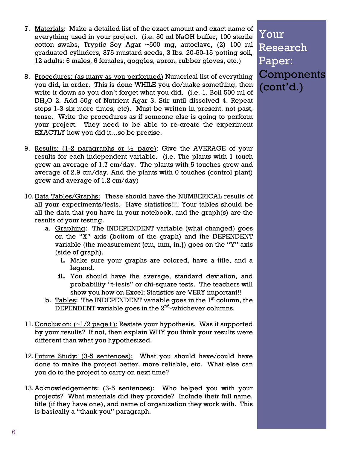- 7. Materials: Make a detailed list of the exact amount and exact name of everything used in your project. (i.e. 50 ml NaOH buffer, 100 sterile cotton swabs, Tryptic Soy Agar ~500 mg, autoclave, (2) 100 ml graduated cylinders, 375 mustard seeds, 3 lbs. 20-50-15 potting soil, 12 adults: 6 males, 6 females, goggles, apron, rubber gloves, etc.)
- 8. Procedures: (as many as you performed) Numerical list of everything you did, in order. This is done WHILE you do/make something, then write it down so you don't forget what you did. (i.e. 1. Boil 500 ml of DH2O 2. Add 50g of Nutrient Agar 3. Stir until dissolved 4. Repeat steps 1-3 six more times, etc). Must be written in present, not past, tense. Write the procedures as if someone else is going to perform your project. They need to be able to re-create the experiment EXACTLY how you did it…so be precise.
- 9. Results:  $(1-2)$  paragraphs or  $\frac{1}{2}$  page): Give the AVERAGE of your results for each independent variable. (i.e. The plants with 1 touch grew an average of 1.7 cm/day. The plants with 5 touches grew and average of 2.9 cm/day. And the plants with 0 touches (control plant) grew and average of 1.2 cm/day)
- 10.Data Tables/Graphs: These should have the NUMBERICAL results of all your experiments/tests. Have statistics!!!! Your tables should be all the data that you have in your notebook, and the graph(s) are the results of your testing.
	- a. Graphing: The INDEPENDENT variable (what changed) goes on the "X" axis (bottom of the graph) and the DEPENDENT variable (the measurement {cm, mm, in.}) goes on the "Y" axis (side of graph).
		- **i.** Make sure your graphs are colored, have a title, and a legend**.**
		- **ii.** You should have the average, standard deviation, and probability "t-tests" or chi-square tests. The teachers will show you how on Excel; Statistics are VERY important!!
	- b. Tables: The INDEPENDENT variable goes in the 1<sup>st</sup> column, the DEPENDENT variable goes in the  $2<sup>nd</sup>$ -whichever columns.
- 11. Conclusion:  $(\sim 1/2$  page+): Restate your hypothesis. Was it supported by your results? If not, then explain WHY you think your results were different than what you hypothesized.
- 12. Future Study: (3-5 sentences): What you should have/could have done to make the project better, more reliable, etc. What else can you do to the project to carry on next time?
- 13. Acknowledgements: (3-5 sentences): Who helped you with your projects? What materials did they provide? Include their full name, title (if they have one), and name of organization they work with. This is basically a "thank you" paragraph.

Your Research Paper: Components (cont'd.)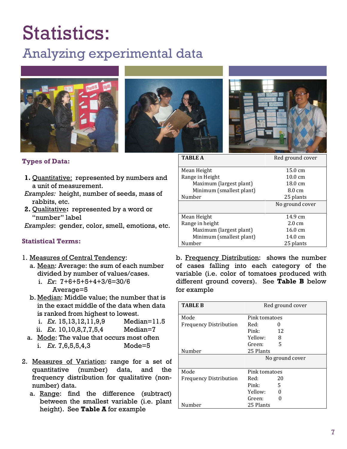# Statistics:

## Analyzing experimental data







#### **Types of Data:**

- **1.** Quantitative: represented by numbers and a unit of measurement.
- *Examples:* height, number of seeds, mass of rabbits, etc.
- **2.** Qualitative**:** represented by a word or "number" label

*Examples*: gender, color, smell, emotions, etc.

#### **Statistical Terms:**

- 1. Measures of Central Tendency:
	- a. Mean: Average: the sum of each number divided by number of values/cases.
		- i. *Ex*: 7+6+5+5+4+3/6=30/6 Average=5
	- b. Median: Middle value; the number that is in the exact middle of the data when data is ranked from highest to lowest.
		- i. *Ex.* 15,13,12,11,9,9 Median=11.5 ii. *Ex.* 10,10,8,7,7,5,4 Median=7
	- a. Mode: The value that occurs most often i. *Ex.* 7,6,5,5,4,3 Mode=5
- 2. Measures of Variation: range for a set of quantitative (number) data, and the frequency distribution for qualitative (nonnumber) data.
	- a. Range: find the difference (subtract) between the smallest variable (i.e. plant height). See **Table A** for example

| <b>TABLE A</b>           | Red ground cover  |
|--------------------------|-------------------|
| Mean Height              | $15.0 \text{ cm}$ |
| Range in Height          | $10.0 \text{ cm}$ |
| Maximum (largest plant)  | 18.0 cm           |
| Minimum (smallest plant) | 8.0 cm            |
| Number                   | 25 plants         |
|                          | No ground cover   |
| Mean Height              | $14.9 \text{ cm}$ |
| Range in height          | $2.0 \text{ cm}$  |
| Maximum (largest plant)  | $16.0 \text{ cm}$ |
| Minimum (smallest plant) | 14.0 cm           |
| Number                   | 25 plants         |

b. Frequency Distribution: shows the number of cases falling into each category of the variable (i.e. color of tomatoes produced with different ground covers). See **Table B** below for example

| <b>TABLE B</b>                | Red ground cover |  |
|-------------------------------|------------------|--|
| Mode                          | Pink tomatoes    |  |
| <b>Frequency Distribution</b> | Red:<br>0        |  |
|                               | Pink:<br>12      |  |
|                               | Yellow:<br>8     |  |
|                               | 5<br>Green:      |  |
| Number                        | 25 Plants        |  |
|                               | No ground cover  |  |
| Mode                          | Pink tomatoes    |  |
| <b>Frequency Distribution</b> | Red:<br>20       |  |
|                               | Pink<br>5        |  |
|                               | Yellow:          |  |
|                               | Green:           |  |
| Number                        | 25 Plants        |  |